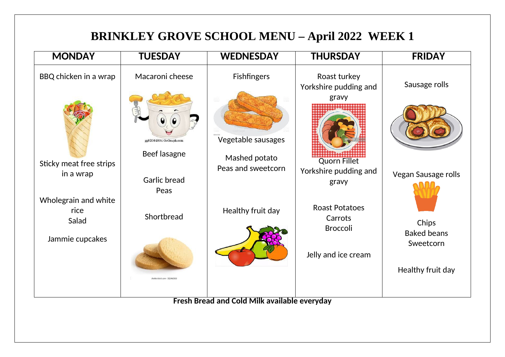## **BRINKLEY GROVE SCHOOL MENU – April 2022 WEEK 1**

| <b>MONDAY</b>                         | <b>TUESDAY</b>                         | <b>WEDNESDAY</b>                                    | <b>THURSDAY</b>                                       | <b>FRIDAY</b>                  |
|---------------------------------------|----------------------------------------|-----------------------------------------------------|-------------------------------------------------------|--------------------------------|
| BBQ chicken in a wrap                 | Macaroni cheese                        | <b>Fishfingers</b>                                  | Roast turkey<br>Yorkshire pudding and<br>gravy        | Sausage rolls                  |
|                                       | gg82064894 GoGraph.com<br>Beef lasagne | Vegetable sausages<br>Mashed potato                 |                                                       |                                |
| Sticky meat free strips<br>in a wrap  | <b>Garlic bread</b><br>Peas            | Peas and sweetcorn                                  | <b>Quorn Fillet</b><br>Yorkshire pudding and<br>gravy | Vegan Sausage rolls            |
| Wholegrain and white<br>rice<br>Salad | Shortbread                             | Healthy fruit day                                   | <b>Roast Potatoes</b><br>Carrots<br><b>Broccoli</b>   | Chips<br><b>Baked beans</b>    |
| Jammie cupcakes                       | hutterstock.com - 312460553            |                                                     | Jelly and ice cream                                   | Sweetcorn<br>Healthy fruit day |
|                                       |                                        | <b>Fresh Bread and Cold Milk available everyday</b> |                                                       |                                |